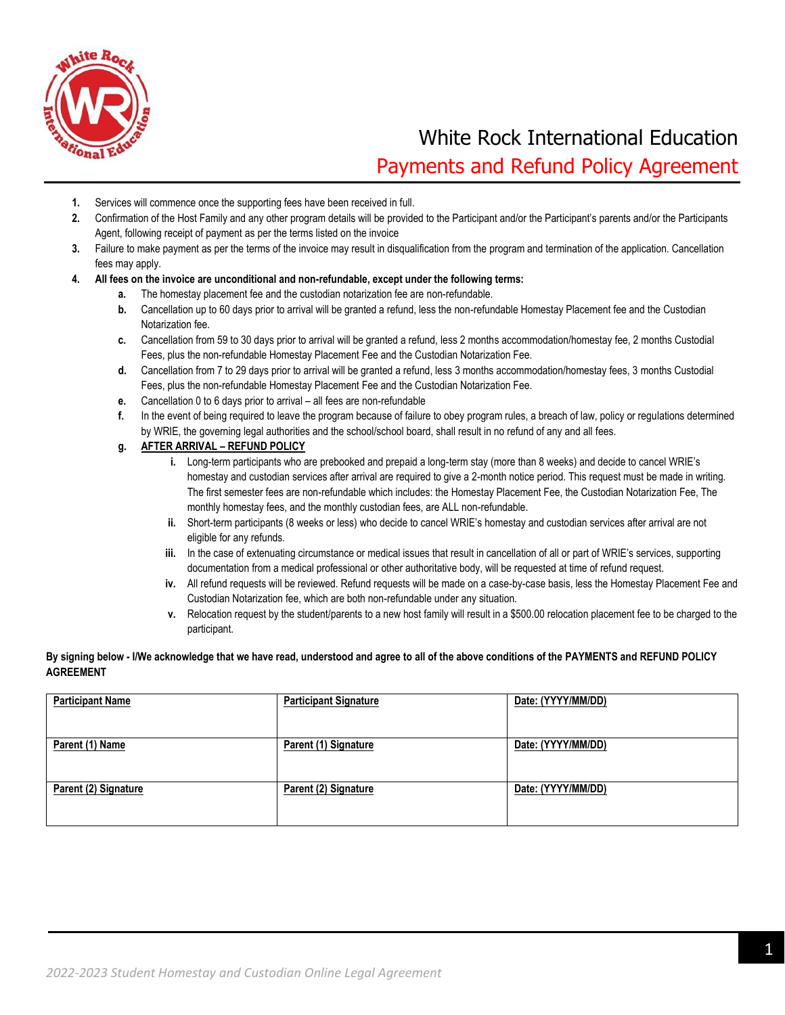

# White Rock International Education Payments and Refund Policy Agreement

- **1.** Services will commence once the supporting fees have been received in full.
- **2.** Confirmation of the Host Family and any other program details will be provided to the Participant and/or the Participant's parents and/or the Participants Agent, following receipt of payment as per the terms listed on the invoice
- **3.** Failure to make payment as per the terms of the invoice may result in disqualification from the program and termination of the application. Cancellation fees may apply.
- **4. All fees on the invoice are unconditional and non-refundable, except under the following terms:**
	- **a.** The homestay placement fee and the custodian notarization fee are non-refundable.
	- **b.** Cancellation up to 60 days prior to arrival will be granted a refund, less the non-refundable Homestay Placement fee and the Custodian Notarization fee.
	- **c.** Cancellation from 59 to 30 days prior to arrival will be granted a refund, less 2 months accommodation/homestay fee, 2 months Custodial Fees, plus the non-refundable Homestay Placement Fee and the Custodian Notarization Fee.
	- **d.** Cancellation from 7 to 29 days prior to arrival will be granted a refund, less 3 months accommodation/homestay fees, 3 months Custodial Fees, plus the non-refundable Homestay Placement Fee and the Custodian Notarization Fee.
	- **e.** Cancellation 0 to 6 days prior to arrival all fees are non-refundable
	- **f.** In the event of being required to leave the program because of failure to obey program rules, a breach of law, policy or regulations determined by WRIE, the governing legal authorities and the school/school board, shall result in no refund of any and all fees.

#### **g. AFTER ARRIVAL – REFUND POLICY**

- **i.** Long-term participants who are prebooked and prepaid a long-term stay (more than 8 weeks) and decide to cancel WRIE's homestay and custodian services after arrival are required to give a 2-month notice period. This request must be made in writing. The first semester fees are non-refundable which includes: the Homestay Placement Fee, the Custodian Notarization Fee, The monthly homestay fees, and the monthly custodian fees, are ALL non-refundable.
- **ii.** Short-term participants (8 weeks or less) who decide to cancel WRIE's homestay and custodian services after arrival are not eligible for any refunds.
- **iii.** In the case of extenuating circumstance or medical issues that result in cancellation of all or part of WRIE's services, supporting documentation from a medical professional or other authoritative body, will be requested at time of refund request.
- **iv.** All refund requests will be reviewed. Refund requests will be made on a case-by-case basis, less the Homestay Placement Fee and Custodian Notarization fee, which are both non-refundable under any situation.
- **v.** Relocation request by the student/parents to a new host family will result in a \$500.00 relocation placement fee to be charged to the participant.

#### **By signing below - I/We acknowledge that we have read, understood and agree to all of the above conditions of the PAYMENTS and REFUND POLICY AGREEMENT**

| <b>Participant Name</b> | <b>Participant Signature</b> | Date: (YYYY/MM/DD) |
|-------------------------|------------------------------|--------------------|
| Parent (1) Name         | Parent (1) Signature         | Date: (YYYY/MM/DD) |
| Parent (2) Signature    | Parent (2) Signature         | Date: (YYYY/MM/DD) |
|                         |                              |                    |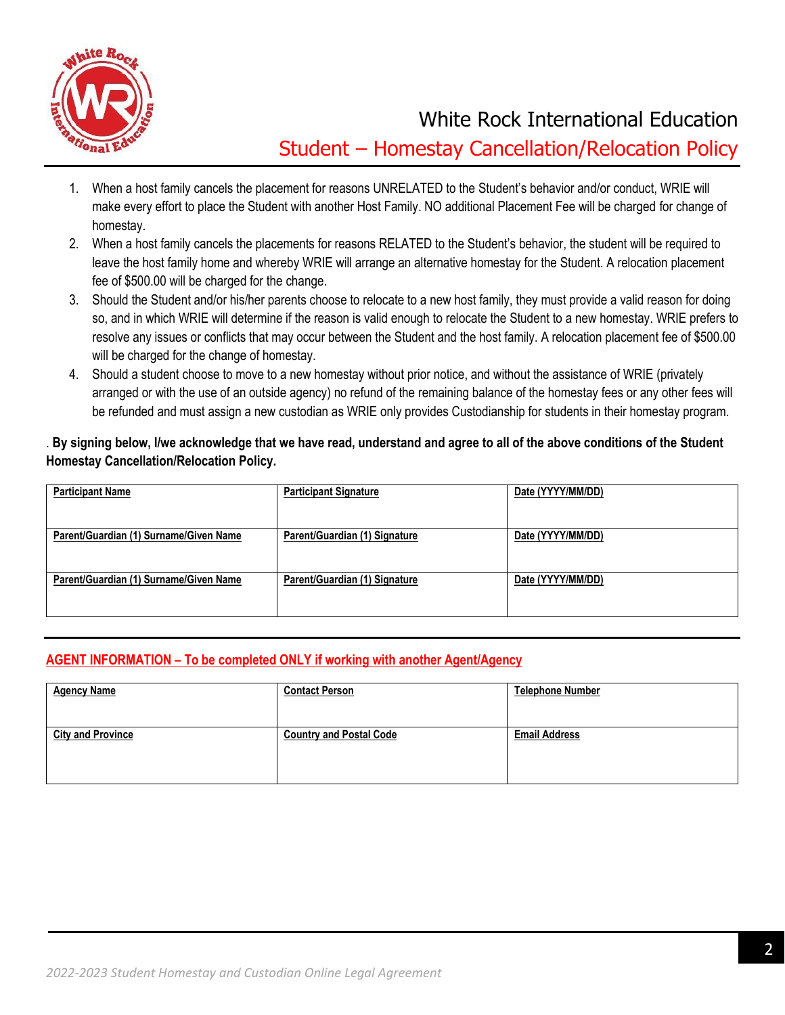

White Rock International Education Student – Homestay Cancellation/Relocation Policy

- 1. When a host family cancels the placement for reasons UNRELATED to the Student's behavior and/or conduct, WRIE will make every effort to place the Student with another Host Family. NO additional Placement Fee will be charged for change of homestay.
- 2. When a host family cancels the placements for reasons RELATED to the Student's behavior, the student will be required to leave the host family home and whereby WRIE will arrange an alternative homestay for the Student. A relocation placement fee of \$500.00 will be charged for the change.
- 3. Should the Student and/or his/her parents choose to relocate to a new host family, they must provide a valid reason for doing so, and in which WRIE will determine if the reason is valid enough to relocate the Student to a new homestay. WRIE prefers to resolve any issues or conflicts that may occur between the Student and the host family. A relocation placement fee of \$500.00 will be charged for the change of homestay.
- 4. Should a student choose to move to a new homestay without prior notice, and without the assistance of WRIE (privately arranged or with the use of an outside agency) no refund of the remaining balance of the homestay fees or any other fees will be refunded and must assign a new custodian as WRIE only provides Custodianship for students in their homestay program.

## . **By signing below, I/we acknowledge that we have read, understand and agree to all of the above conditions of the Student Homestay Cancellation/Relocation Policy.**

| <b>Participant Name</b>                | <b>Participant Signature</b>  | Date (YYYY/MM/DD) |
|----------------------------------------|-------------------------------|-------------------|
| Parent/Guardian (1) Surname/Given Name | Parent/Guardian (1) Signature | Date (YYYY/MM/DD) |
| Parent/Guardian (1) Surname/Given Name | Parent/Guardian (1) Signature | Date (YYYY/MM/DD) |
|                                        |                               |                   |

## **AGENT INFORMATION – To be completed ONLY if working with another Agent/Agency**

| <b>Agency Name</b>       | <b>Contact Person</b>          | <b>Telephone Number</b> |
|--------------------------|--------------------------------|-------------------------|
| <b>City and Province</b> | <b>Country and Postal Code</b> | <b>Email Address</b>    |
|                          |                                |                         |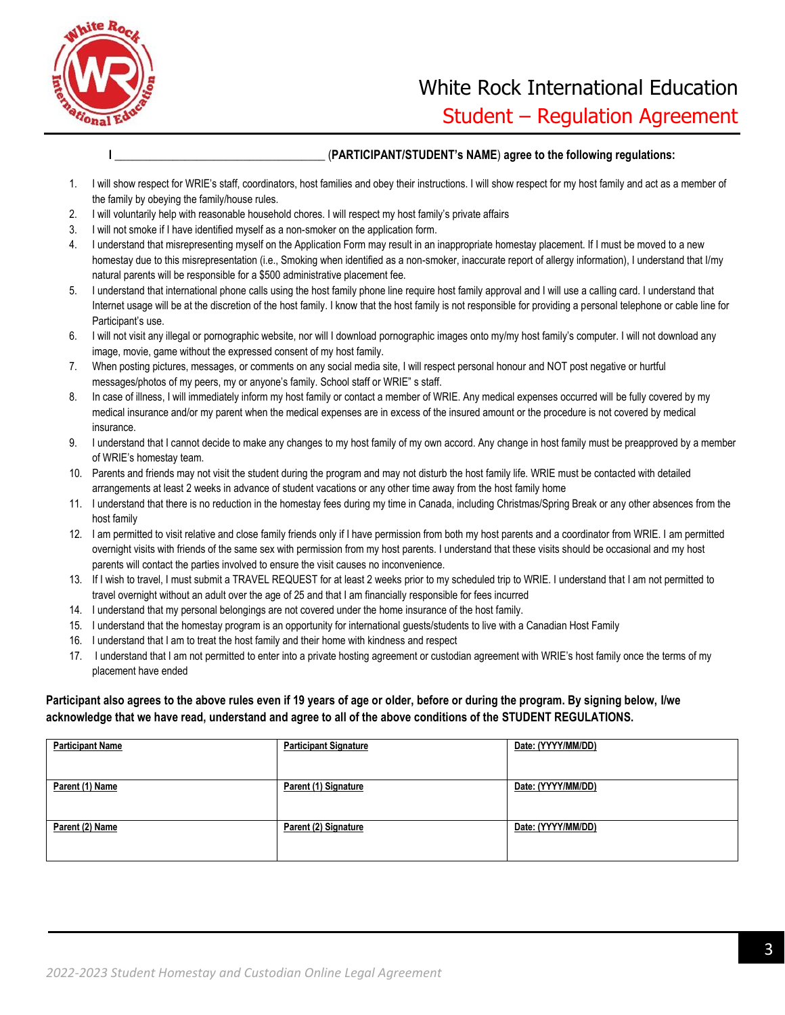

# White Rock International Education Student – Regulation Agreement

#### **I \_**\_\_\_\_\_\_\_\_\_\_\_\_\_\_\_\_\_\_\_\_\_\_\_\_\_\_\_\_\_\_\_\_\_\_\_ (**PARTICIPANT/STUDENT's NAME**) **agree to the following regulations:**

- 1. I will show respect for WRIE's staff, coordinators, host families and obey their instructions. I will show respect for my host family and act as a member of the family by obeying the family/house rules.
- 2. I will voluntarily help with reasonable household chores. I will respect my host family's private affairs
- 3. I will not smoke if I have identified myself as a non-smoker on the application form.
- 4. I understand that misrepresenting myself on the Application Form may result in an inappropriate homestay placement. If I must be moved to a new homestay due to this misrepresentation (i.e., Smoking when identified as a non-smoker, inaccurate report of allergy information), I understand that I/my natural parents will be responsible for a \$500 administrative placement fee.
- 5. I understand that international phone calls using the host family phone line require host family approval and I will use a calling card. I understand that Internet usage will be at the discretion of the host family. I know that the host family is not responsible for providing a personal telephone or cable line for Participant's use.
- 6. I will not visit any illegal or pornographic website, nor will I download pornographic images onto my/my host family's computer. I will not download any image, movie, game without the expressed consent of my host family.
- 7. When posting pictures, messages, or comments on any social media site, I will respect personal honour and NOT post negative or hurtful messages/photos of my peers, my or anyone's family. School staff or WRIE" s staff.
- 8. In case of illness, I will immediately inform my host family or contact a member of WRIE. Any medical expenses occurred will be fully covered by my medical insurance and/or my parent when the medical expenses are in excess of the insured amount or the procedure is not covered by medical insurance.
- 9. I understand that I cannot decide to make any changes to my host family of my own accord. Any change in host family must be preapproved by a member of WRIE's homestay team.
- 10. Parents and friends may not visit the student during the program and may not disturb the host family life. WRIE must be contacted with detailed arrangements at least 2 weeks in advance of student vacations or any other time away from the host family home
- 11. I understand that there is no reduction in the homestay fees during my time in Canada, including Christmas/Spring Break or any other absences from the host family
- 12. I am permitted to visit relative and close family friends only if I have permission from both my host parents and a coordinator from WRIE. I am permitted overnight visits with friends of the same sex with permission from my host parents. I understand that these visits should be occasional and my host parents will contact the parties involved to ensure the visit causes no inconvenience.
- 13. If I wish to travel, I must submit a TRAVEL REQUEST for at least 2 weeks prior to my scheduled trip to WRIE. I understand that I am not permitted to travel overnight without an adult over the age of 25 and that I am financially responsible for fees incurred
- 14. I understand that my personal belongings are not covered under the home insurance of the host family.
- 15. I understand that the homestay program is an opportunity for international guests/students to live with a Canadian Host Family
- 16. I understand that I am to treat the host family and their home with kindness and respect
- 17. I understand that I am not permitted to enter into a private hosting agreement or custodian agreement with WRIE's host family once the terms of my placement have ended

### **Participant also agrees to the above rules even if 19 years of age or older, before or during the program. By signing below, I/we acknowledge that we have read, understand and agree to all of the above conditions of the STUDENT REGULATIONS.**

| <b>Participant Name</b> | <b>Participant Signature</b> | Date: (YYYY/MM/DD) |
|-------------------------|------------------------------|--------------------|
|                         |                              |                    |
|                         |                              |                    |
|                         |                              |                    |
| Parent (1) Name         | Parent (1) Signature         | Date: (YYYY/MM/DD) |
|                         |                              |                    |
|                         |                              |                    |
| Parent (2) Name         | Parent (2) Signature         | Date: (YYYY/MM/DD) |
|                         |                              |                    |
|                         |                              |                    |
|                         |                              |                    |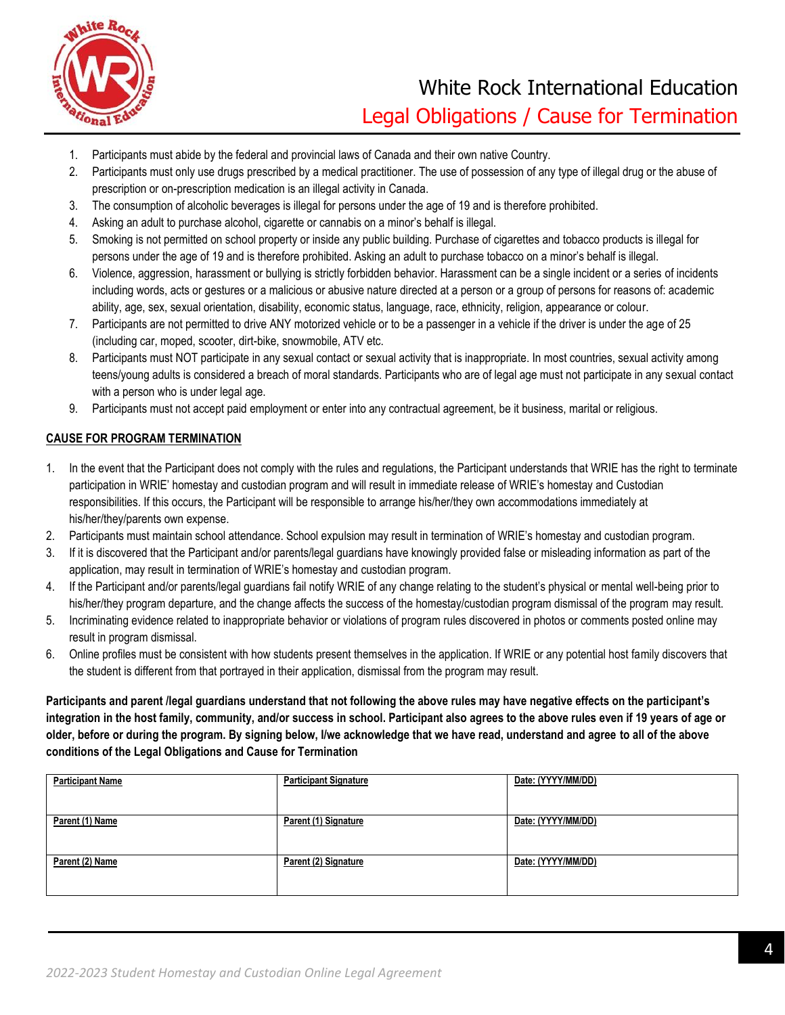

# White Rock International Education Legal Obligations / Cause for Termination

- 1. Participants must abide by the federal and provincial laws of Canada and their own native Country.
- 2. Participants must only use drugs prescribed by a medical practitioner. The use of possession of any type of illegal drug or the abuse of prescription or on-prescription medication is an illegal activity in Canada.
- 3. The consumption of alcoholic beverages is illegal for persons under the age of 19 and is therefore prohibited.
- 4. Asking an adult to purchase alcohol, cigarette or cannabis on a minor's behalf is illegal.
- 5. Smoking is not permitted on school property or inside any public building. Purchase of cigarettes and tobacco products is illegal for persons under the age of 19 and is therefore prohibited. Asking an adult to purchase tobacco on a minor's behalf is illegal.
- 6. Violence, aggression, harassment or bullying is strictly forbidden behavior. Harassment can be a single incident or a series of incidents including words, acts or gestures or a malicious or abusive nature directed at a person or a group of persons for reasons of: academic ability, age, sex, sexual orientation, disability, economic status, language, race, ethnicity, religion, appearance or colour.
- 7. Participants are not permitted to drive ANY motorized vehicle or to be a passenger in a vehicle if the driver is under the age of 25 (including car, moped, scooter, dirt-bike, snowmobile, ATV etc.
- 8. Participants must NOT participate in any sexual contact or sexual activity that is inappropriate. In most countries, sexual activity among teens/young adults is considered a breach of moral standards. Participants who are of legal age must not participate in any sexual contact with a person who is under legal age.
- 9. Participants must not accept paid employment or enter into any contractual agreement, be it business, marital or religious.

#### **CAUSE FOR PROGRAM TERMINATION**

- 1. In the event that the Participant does not comply with the rules and regulations, the Participant understands that WRIE has the right to terminate participation in WRIE' homestay and custodian program and will result in immediate release of WRIE's homestay and Custodian responsibilities. If this occurs, the Participant will be responsible to arrange his/her/they own accommodations immediately at his/her/they/parents own expense.
- 2. Participants must maintain school attendance. School expulsion may result in termination of WRIE's homestay and custodian program.
- 3. If it is discovered that the Participant and/or parents/legal guardians have knowingly provided false or misleading information as part of the application, may result in termination of WRIE's homestay and custodian program.
- 4. If the Participant and/or parents/legal guardians fail notify WRIE of any change relating to the student's physical or mental well-being prior to his/her/they program departure, and the change affects the success of the homestay/custodian program dismissal of the program may result.
- 5. Incriminating evidence related to inappropriate behavior or violations of program rules discovered in photos or comments posted online may result in program dismissal.
- 6. Online profiles must be consistent with how students present themselves in the application. If WRIE or any potential host family discovers that the student is different from that portrayed in their application, dismissal from the program may result.

**Participants and parent /legal guardians understand that not following the above rules may have negative effects on the participant's integration in the host family, community, and/or success in school. Participant also agrees to the above rules even if 19 years of age or older, before or during the program. By signing below, I/we acknowledge that we have read, understand and agree to all of the above conditions of the Legal Obligations and Cause for Termination**

| <b>Participant Name</b> | <b>Participant Signature</b> | Date: (YYYY/MM/DD) |
|-------------------------|------------------------------|--------------------|
|                         |                              |                    |
| Parent (1) Name         | Parent (1) Signature         | Date: (YYYY/MM/DD) |
|                         |                              |                    |
| Parent (2) Name         | Parent (2) Signature         | Date: (YYYY/MM/DD) |
|                         |                              |                    |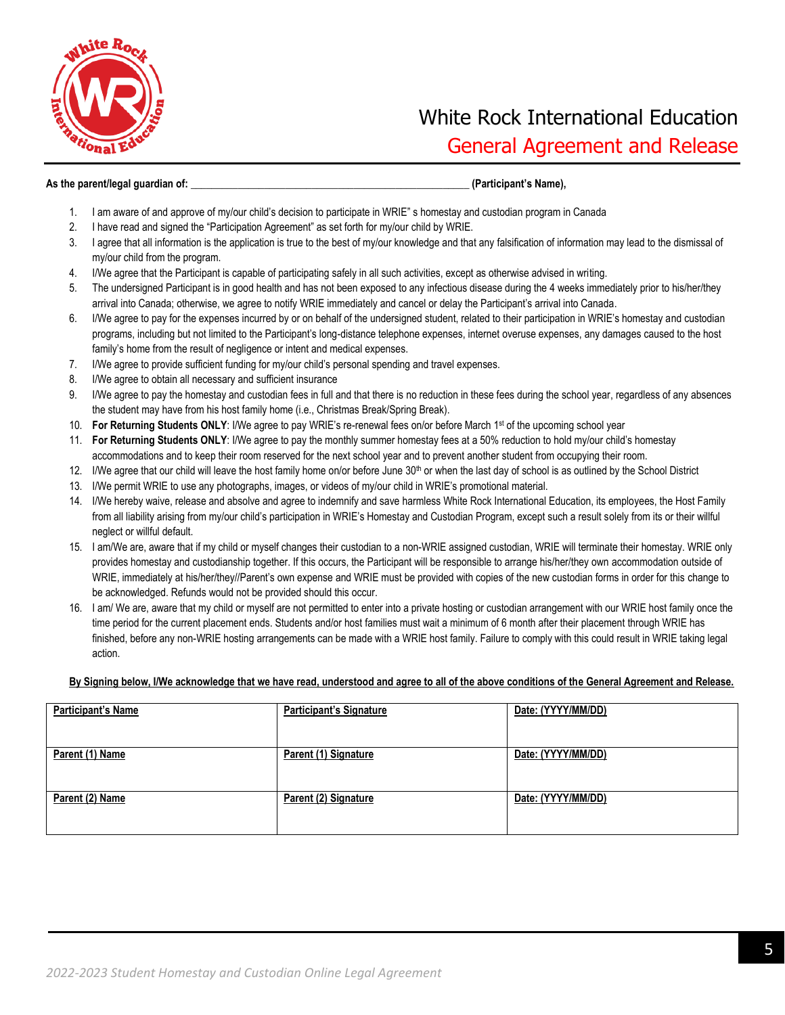

#### **As the parent/legal guardian of: \_\_\_\_\_\_\_\_\_\_\_\_\_\_\_\_\_\_\_\_\_\_\_\_\_\_\_\_\_\_\_\_\_\_\_\_\_\_\_\_\_\_\_\_\_\_\_\_\_\_\_\_\_ (Participant's Name),**

- 1. I am aware of and approve of my/our child's decision to participate in WRIE" s homestay and custodian program in Canada
- 2. I have read and signed the "Participation Agreement" as set forth for my/our child by WRIE.
- 3. I agree that all information is the application is true to the best of my/our knowledge and that any falsification of information may lead to the dismissal of my/our child from the program.
- 4. I/We agree that the Participant is capable of participating safely in all such activities, except as otherwise advised in writing.
- 5. The undersigned Participant is in good health and has not been exposed to any infectious disease during the 4 weeks immediately prior to his/her/they arrival into Canada; otherwise, we agree to notify WRIE immediately and cancel or delay the Participant's arrival into Canada.
- 6. I/We agree to pay for the expenses incurred by or on behalf of the undersigned student, related to their participation in WRIE's homestay and custodian programs, including but not limited to the Participant's long-distance telephone expenses, internet overuse expenses, any damages caused to the host family's home from the result of negligence or intent and medical expenses.
- 7. I/We agree to provide sufficient funding for my/our child's personal spending and travel expenses.
- 8. I/We agree to obtain all necessary and sufficient insurance
- 9. I/We agree to pay the homestay and custodian fees in full and that there is no reduction in these fees during the school year, regardless of any absences the student may have from his host family home (i.e., Christmas Break/Spring Break).
- 10. **For Returning Students ONLY**: I/We agree to pay WRIE's re-renewal fees on/or before March 1st of the upcoming school year
- 11. **For Returning Students ONLY**: I/We agree to pay the monthly summer homestay fees at a 50% reduction to hold my/our child's homestay accommodations and to keep their room reserved for the next school year and to prevent another student from occupying their room.
- 12. I/We agree that our child will leave the host family home on/or before June 30<sup>th</sup> or when the last day of school is as outlined by the School District
- 13. I/We permit WRIE to use any photographs, images, or videos of my/our child in WRIE's promotional material.
- 14. I/We hereby waive, release and absolve and agree to indemnify and save harmless White Rock International Education, its employees, the Host Family from all liability arising from my/our child's participation in WRIE's Homestay and Custodian Program, except such a result solely from its or their willful neglect or willful default.
- 15. I am/We are, aware that if my child or myself changes their custodian to a non-WRIE assigned custodian, WRIE will terminate their homestay. WRIE only provides homestay and custodianship together. If this occurs, the Participant will be responsible to arrange his/her/they own accommodation outside of WRIE, immediately at his/her/they//Parent's own expense and WRIE must be provided with copies of the new custodian forms in order for this change to be acknowledged. Refunds would not be provided should this occur.
- 16. I am/ We are, aware that my child or myself are not permitted to enter into a private hosting or custodian arrangement with our WRIE host family once the time period for the current placement ends. Students and/or host families must wait a minimum of 6 month after their placement through WRIE has finished, before any non-WRIE hosting arrangements can be made with a WRIE host family. Failure to comply with this could result in WRIE taking legal action.

#### **By Signing below, I/We acknowledge that we have read, understood and agree to all of the above conditions of the General Agreement and Release.**

| <b>Participant's Name</b> | <b>Participant's Signature</b> | Date: (YYYY/MM/DD) |
|---------------------------|--------------------------------|--------------------|
|                           |                                |                    |
| Parent (1) Name           | Parent (1) Signature           | Date: (YYYY/MM/DD) |
| Parent (2) Name           | Parent (2) Signature           | Date: (YYYY/MM/DD) |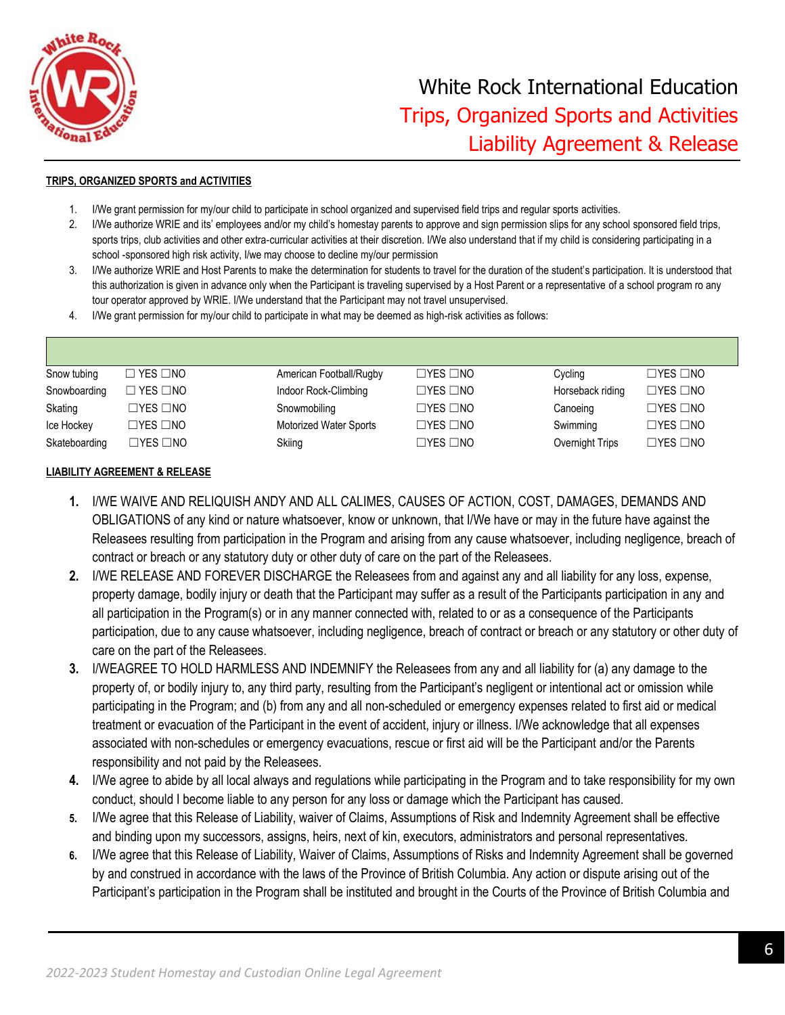

#### **TRIPS, ORGANIZED SPORTS and ACTIVITIES**

- 1. I/We grant permission for my/our child to participate in school organized and supervised field trips and regular sports activities.
- 2. I/We authorize WRIE and its' employees and/or my child's homestay parents to approve and sign permission slips for any school sponsored field trips, sports trips, club activities and other extra-curricular activities at their discretion. I/We also understand that if my child is considering participating in a school -sponsored high risk activity, I/we may choose to decline my/our permission
- 3. I/We authorize WRIE and Host Parents to make the determination for students to travel for the duration of the student's participation. It is understood that this authorization is given in advance only when the Participant is traveling supervised by a Host Parent or a representative of a school program ro any tour operator approved by WRIE. I/We understand that the Participant may not travel unsupervised.
- 4. I/We grant permission for my/our child to participate in what may be deemed as high-risk activities as follows:

| Snow tubing   | $\Box$ YES $\Box$ NO | American Football/Rugby | $\Box$ YES $\Box$ NO | Cycling          | $\Box$ YES $\Box$ NO |
|---------------|----------------------|-------------------------|----------------------|------------------|----------------------|
| Snowboarding  | $\Box$ YES $\Box$ NO | Indoor Rock-Climbing    | $\Box$ YES $\Box$ NO | Horseback riding | $\Box$ YES $\Box$ NO |
| Skating       | $\Box$ yes $\Box$ no | Snowmobiling            | $\Box$ YES $\Box$ NO | Canoeing         | $\Box$ YES $\Box$ NO |
| Ice Hockey    | $\Box$ YES $\Box$ NO | Motorized Water Sports  | $\Box$ YES $\Box$ NO | Swimming         | $\Box$ YES $\Box$ NO |
| Skateboarding | ⊐YES ⊡NO             | Skiing                  | $\Box$ YES $\Box$ NO | Overnight Trips  | $\Box$ YES $\Box$ NO |

#### **LIABILITY AGREEMENT & RELEASE**

- **1.** I/WE WAIVE AND RELIQUISH ANDY AND ALL CALIMES, CAUSES OF ACTION, COST, DAMAGES, DEMANDS AND OBLIGATIONS of any kind or nature whatsoever, know or unknown, that I/We have or may in the future have against the Releasees resulting from participation in the Program and arising from any cause whatsoever, including negligence, breach of contract or breach or any statutory duty or other duty of care on the part of the Releasees.
- **2.** I/WE RELEASE AND FOREVER DISCHARGE the Releasees from and against any and all liability for any loss, expense, property damage, bodily injury or death that the Participant may suffer as a result of the Participants participation in any and all participation in the Program(s) or in any manner connected with, related to or as a consequence of the Participants participation, due to any cause whatsoever, including negligence, breach of contract or breach or any statutory or other duty of care on the part of the Releasees.
- **3.** I/WEAGREE TO HOLD HARMLESS AND INDEMNIFY the Releasees from any and all liability for (a) any damage to the property of, or bodily injury to, any third party, resulting from the Participant's negligent or intentional act or omission while participating in the Program; and (b) from any and all non-scheduled or emergency expenses related to first aid or medical treatment or evacuation of the Participant in the event of accident, injury or illness. I/We acknowledge that all expenses associated with non-schedules or emergency evacuations, rescue or first aid will be the Participant and/or the Parents responsibility and not paid by the Releasees.
- **4.** I/We agree to abide by all local always and regulations while participating in the Program and to take responsibility for my own conduct, should I become liable to any person for any loss or damage which the Participant has caused.
- **5.** I/We agree that this Release of Liability, waiver of Claims, Assumptions of Risk and Indemnity Agreement shall be effective and binding upon my successors, assigns, heirs, next of kin, executors, administrators and personal representatives*.*
- **6.** I/We agree that this Release of Liability, Waiver of Claims, Assumptions of Risks and Indemnity Agreement shall be governed by and construed in accordance with the laws of the Province of British Columbia. Any action or dispute arising out of the Participant's participation in the Program shall be instituted and brought in the Courts of the Province of British Columbia and